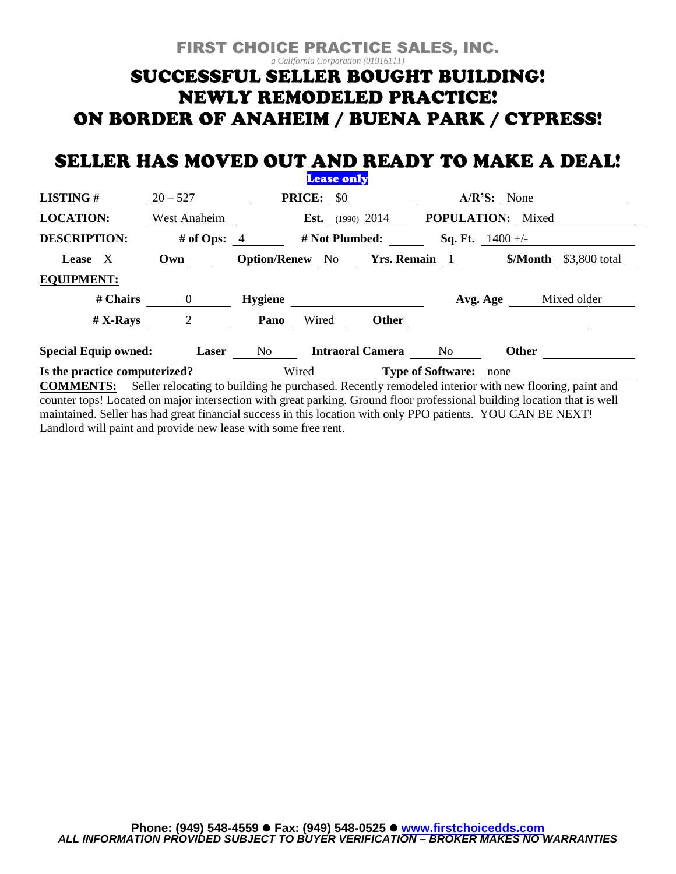# FIRST CHOICE PRACTICE SALES, INC. *a California Corporation (01916111)* SUCCESSFUL SELLER BOUGHT BUILDING! **NEWLY REMODELED PRACTICE!** ON BORDER OF ANAHEIM / BUENA PARK / CYPRESS!

## SELLER HAS MOVED OUT AND READY TO MAKE A DEAL! **Lease only**

|                                                                                                                          |                 |                | $- - - - - - -$               |                            |                           |               |                       |
|--------------------------------------------------------------------------------------------------------------------------|-----------------|----------------|-------------------------------|----------------------------|---------------------------|---------------|-----------------------|
| <b>LISTING#</b>                                                                                                          | $20 - 527$      |                | <b>PRICE:</b> \$0             |                            |                           | $A/R'S:$ None |                       |
| <b>LOCATION:</b>                                                                                                         | West Anaheim    |                | <b>Est.</b> (1990) 2014       |                            | <b>POPULATION:</b> Mixed  |               |                       |
| <b>DESCRIPTION:</b>                                                                                                      | # of Ops: $4$   | # Not Plumbed: |                               |                            | <b>Sq. Ft.</b> $1400 +/-$ |               |                       |
| Lease X                                                                                                                  | Own             |                | <b>Option/Renew</b> No        |                            | <b>Yrs. Remain</b> 1      |               | $Month$ \$3,800 total |
| <b>EQUIPMENT:</b>                                                                                                        |                 |                |                               |                            |                           |               |                       |
| # Chairs                                                                                                                 | $\overline{0}$  | <b>Hygiene</b> |                               |                            | Avg. Age                  |               | Mixed older           |
| $# X-Rays$                                                                                                               | $2\overline{)}$ | Pano           | Wired                         | <b>Other</b>               |                           |               |                       |
| <b>Special Equip owned:</b>                                                                                              | Laser           | No no          |                               | <b>Intraoral Camera</b> No |                           | <b>Other</b>  |                       |
| Is the practice computerized?                                                                                            | Wired           |                | <b>Type of Software:</b> none |                            |                           |               |                       |
| <b>COMMENTS:</b> Seller relocating to building he purchased. Recently remodeled interior with new flooring, paint and    |                 |                |                               |                            |                           |               |                       |
| counter tops! Located on major intersection with great parking. Ground floor professional building location that is well |                 |                |                               |                            |                           |               |                       |

maintained. Seller has had great financial success in this location with only PPO patients. YOU CAN BE NEXT! Landlord will paint and provide new lease with some free rent.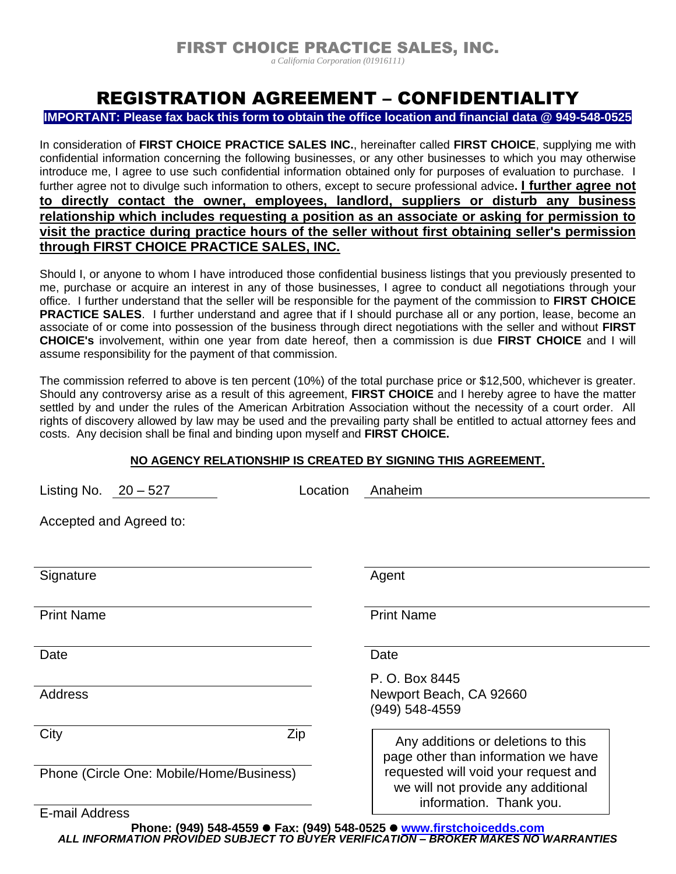*a California Corporation (01916111)*

# REGISTRATION AGREEMENT – CONFIDENTIALITY

#### **IMPORTANT: Please fax back this form to obtain the office location and financial data @ 949-548-0525**

In consideration of **FIRST CHOICE PRACTICE SALES INC.**, hereinafter called **FIRST CHOICE**, supplying me with confidential information concerning the following businesses, or any other businesses to which you may otherwise introduce me, I agree to use such confidential information obtained only for purposes of evaluation to purchase. I further agree not to divulge such information to others, except to secure professional advice**. I further agree not to directly contact the owner, employees, landlord, suppliers or disturb any business relationship which includes requesting a position as an associate or asking for permission to visit the practice during practice hours of the seller without first obtaining seller's permission through FIRST CHOICE PRACTICE SALES, INC.** 

Should I, or anyone to whom I have introduced those confidential business listings that you previously presented to me, purchase or acquire an interest in any of those businesses, I agree to conduct all negotiations through your office. I further understand that the seller will be responsible for the payment of the commission to **FIRST CHOICE PRACTICE SALES**. I further understand and agree that if I should purchase all or any portion, lease, become an associate of or come into possession of the business through direct negotiations with the seller and without **FIRST CHOICE's** involvement, within one year from date hereof, then a commission is due **FIRST CHOICE** and I will assume responsibility for the payment of that commission.

The commission referred to above is ten percent (10%) of the total purchase price or \$12,500, whichever is greater. Should any controversy arise as a result of this agreement, **FIRST CHOICE** and I hereby agree to have the matter settled by and under the rules of the American Arbitration Association without the necessity of a court order. All rights of discovery allowed by law may be used and the prevailing party shall be entitled to actual attorney fees and costs. Any decision shall be final and binding upon myself and **FIRST CHOICE.**

### **NO AGENCY RELATIONSHIP IS CREATED BY SIGNING THIS AGREEMENT.**

| Listing No. $20 - 527$                   | Location | Anaheim                                                                                                                                                                            |  |  |  |  |  |  |
|------------------------------------------|----------|------------------------------------------------------------------------------------------------------------------------------------------------------------------------------------|--|--|--|--|--|--|
| Accepted and Agreed to:                  |          |                                                                                                                                                                                    |  |  |  |  |  |  |
|                                          |          |                                                                                                                                                                                    |  |  |  |  |  |  |
| Signature                                |          | Agent                                                                                                                                                                              |  |  |  |  |  |  |
| <b>Print Name</b>                        |          | <b>Print Name</b>                                                                                                                                                                  |  |  |  |  |  |  |
| Date                                     |          | Date                                                                                                                                                                               |  |  |  |  |  |  |
|                                          |          | P. O. Box 8445                                                                                                                                                                     |  |  |  |  |  |  |
| Address                                  |          | Newport Beach, CA 92660<br>(949) 548-4559                                                                                                                                          |  |  |  |  |  |  |
| City                                     | Zip      | Any additions or deletions to this<br>page other than information we have<br>requested will void your request and<br>we will not provide any additional<br>information. Thank you. |  |  |  |  |  |  |
| Phone (Circle One: Mobile/Home/Business) |          |                                                                                                                                                                                    |  |  |  |  |  |  |
| E-mail Address                           |          |                                                                                                                                                                                    |  |  |  |  |  |  |

**Phone: (949) 548-4559** ⚫ **Fax: (949) 548-0525** ⚫ **[www.firstchoicedds.com](http://www.firstchoicedds.com/)** *ALL INFORMATION PROVIDED SUBJECT TO BUYER VERIFICATION – BROKER MAKES NO WARRANTIES*